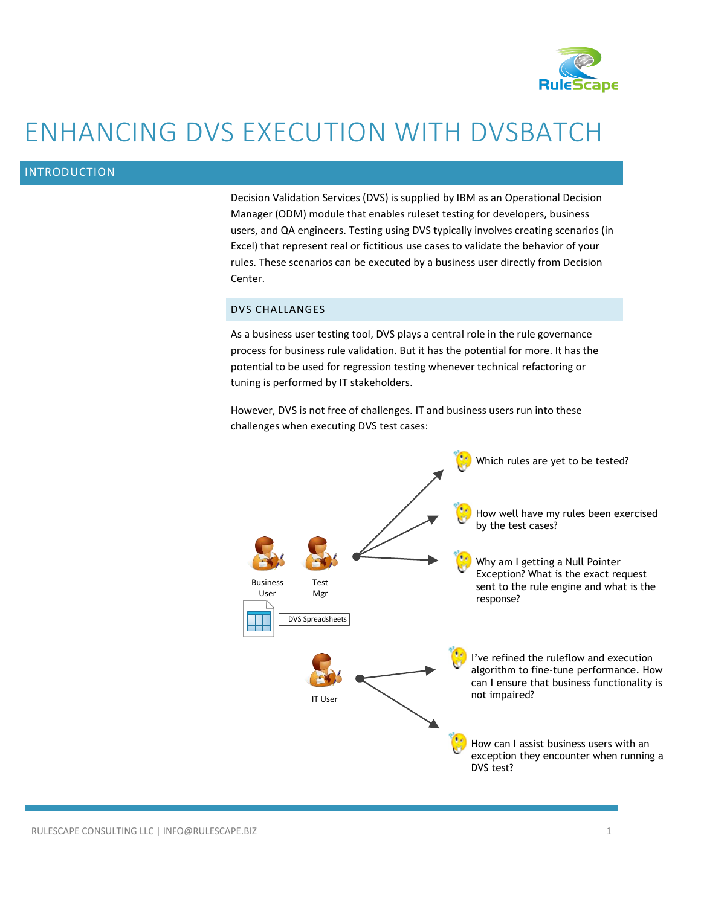

# ENHANCING DVS EXECUTION WITH DVSBATCH

# INTRODUCTION

Decision Validation Services (DVS) is supplied by IBM as an Operational Decision Manager (ODM) module that enables ruleset testing for developers, business users, and QA engineers. Testing using DVS typically involves creating scenarios (in Excel) that represent real or fictitious use cases to validate the behavior of your rules. These scenarios can be executed by a business user directly from Decision Center.

## DVS CHALLANGES

As a business user testing tool, DVS plays a central role in the rule governance process for business rule validation. But it has the potential for more. It has the potential to be used for regression testing whenever technical refactoring or tuning is performed by IT stakeholders.

However, DVS is not free of challenges. IT and business users run into these challenges when executing DVS test cases:

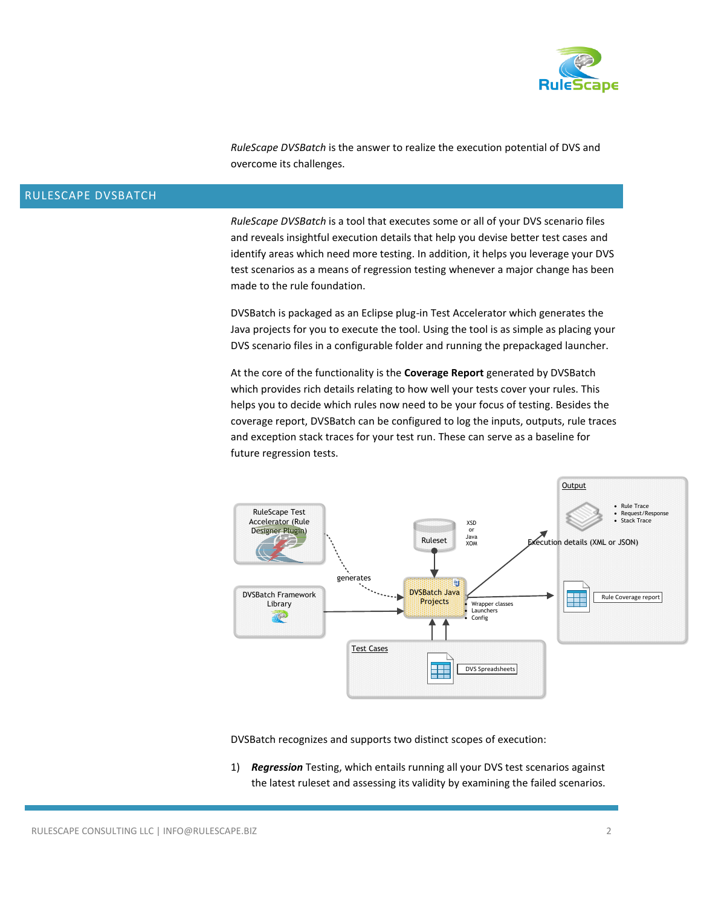

*RuleScape DVSBatch* is the answer to realize the execution potential of DVS and overcome its challenges.

# RULESCAPE DVSBATCH

*RuleScape DVSBatch* is a tool that executes some or all of your DVS scenario files and reveals insightful execution details that help you devise better test cases and identify areas which need more testing. In addition, it helps you leverage your DVS test scenarios as a means of regression testing whenever a major change has been made to the rule foundation.

DVSBatch is packaged as an Eclipse plug-in Test Accelerator which generates the Java projects for you to execute the tool. Using the tool is as simple as placing your DVS scenario files in a configurable folder and running the prepackaged launcher.

At the core of the functionality is the **Coverage Report** generated by DVSBatch which provides rich details relating to how well your tests cover your rules. This helps you to decide which rules now need to be your focus of testing. Besides the coverage report, DVSBatch can be configured to log the inputs, outputs, rule traces and exception stack traces for your test run. These can serve as a baseline for future regression tests.



DVSBatch recognizes and supports two distinct scopes of execution:

1) *Regression* Testing, which entails running all your DVS test scenarios against the latest ruleset and assessing its validity by examining the failed scenarios.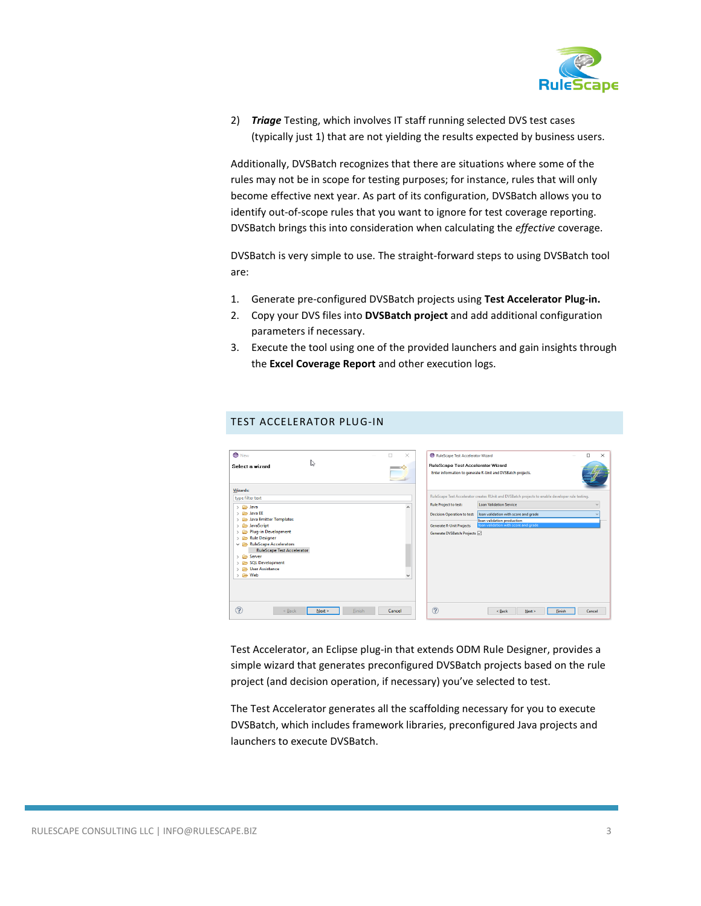

2) *Triage* Testing, which involves IT staff running selected DVS test cases (typically just 1) that are not yielding the results expected by business users.

Additionally, DVSBatch recognizes that there are situations where some of the rules may not be in scope for testing purposes; for instance, rules that will only become effective next year. As part of its configuration, DVSBatch allows you to identify out-of-scope rules that you want to ignore for test coverage reporting. DVSBatch brings this into consideration when calculating the *effective* coverage.

DVSBatch is very simple to use. The straight-forward steps to using DVSBatch tool are:

- 1. Generate pre-configured DVSBatch projects using **Test Accelerator Plug-in.**
- 2. Copy your DVS files into **DVSBatch project** and add additional configuration parameters if necessary.
- 3. Execute the tool using one of the provided launchers and gain insights through the **Excel Coverage Report** and other execution logs.

|  |  |  | TEST ACCELERATOR PLUG-IN |
|--|--|--|--------------------------|
|--|--|--|--------------------------|

| <b>O</b> New<br>п                                                                                                                                                                                                                                                                                                                                                                | $\times$                 | RuleScape Test Accelerator Wizard                                                                                                     | $\Box$<br>$\times$                                                                                                                                                                                                                                         |
|----------------------------------------------------------------------------------------------------------------------------------------------------------------------------------------------------------------------------------------------------------------------------------------------------------------------------------------------------------------------------------|--------------------------|---------------------------------------------------------------------------------------------------------------------------------------|------------------------------------------------------------------------------------------------------------------------------------------------------------------------------------------------------------------------------------------------------------|
| Ľ5<br>Select a wizard                                                                                                                                                                                                                                                                                                                                                            |                          | RuleScape Test Accelerator Wizard                                                                                                     | Enter information to generate R-Unit and DVSBatch projects.                                                                                                                                                                                                |
| Wizards:<br>type filter text<br>> e Java<br>> <b>Cab</b> Java EE<br>Java Emitter Templates<br>$\rightarrow$<br>JavaScript<br>$\mathcal{P}$<br>Plug-in Development<br>Rule Designer<br>$\rightarrow$<br>RuleScape Accelerators<br><b>RuleScape Test Accelerator</b><br>> <b>C</b> Server<br>SQL Development<br><b>B</b> User Assistance<br>$\rightarrow$ $\rightleftharpoons$ Web | $\overline{\phantom{a}}$ | <b>Rule Project to test:</b><br><b>Decision Operation to test:</b><br><b>Generate R-Unit Projects</b><br>Generate DVSBatch Projects ⊠ | RuleScape Test Accelerator creates RUnit and DVSBatch projects to enable developer rule testing.<br><b>Loan Validation Service</b><br>$\sim$<br>loan validation with score and grade<br>loan validation production<br>loan validation with score and grade |
| ?<br>Finish<br>$<$ Back<br>Next >                                                                                                                                                                                                                                                                                                                                                | Cancel                   | $\circledR$                                                                                                                           | $<$ Back<br>Cancel<br>Next ><br>Finish                                                                                                                                                                                                                     |

Test Accelerator, an Eclipse plug-in that extends ODM Rule Designer, provides a simple wizard that generates preconfigured DVSBatch projects based on the rule project (and decision operation, if necessary) you've selected to test.

The Test Accelerator generates all the scaffolding necessary for you to execute DVSBatch, which includes framework libraries, preconfigured Java projects and launchers to execute DVSBatch.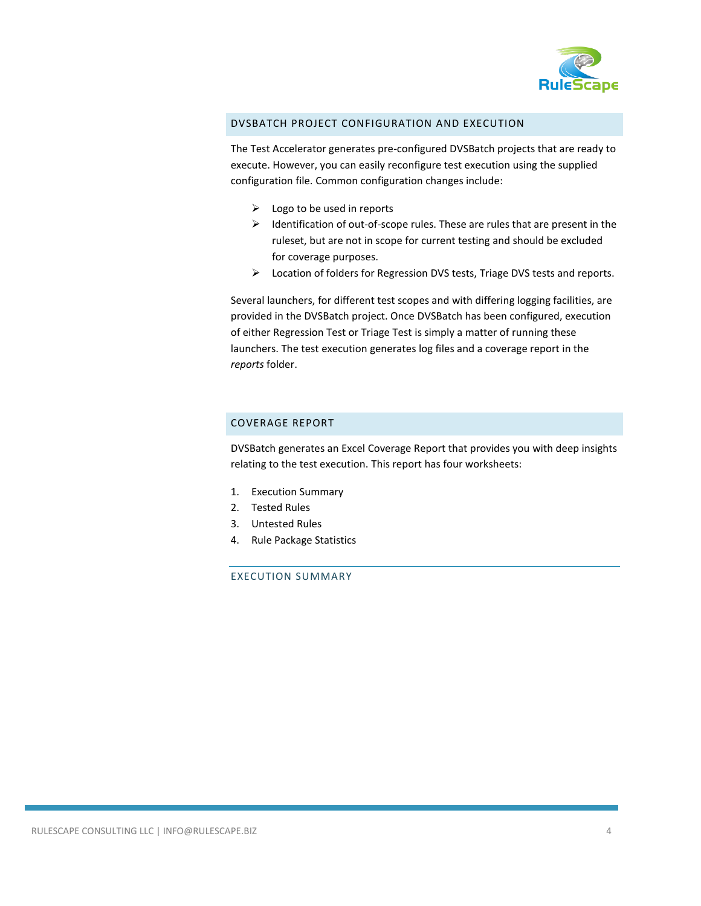

## DVSBATCH PROJECT CONFIGURATION AND EXECUTION

The Test Accelerator generates pre-configured DVSBatch projects that are ready to execute. However, you can easily reconfigure test execution using the supplied configuration file. Common configuration changes include:

- $\triangleright$  Logo to be used in reports
- $\triangleright$  Identification of out-of-scope rules. These are rules that are present in the ruleset, but are not in scope for current testing and should be excluded for coverage purposes.
- Location of folders for Regression DVS tests, Triage DVS tests and reports.

Several launchers, for different test scopes and with differing logging facilities, are provided in the DVSBatch project. Once DVSBatch has been configured, execution of either Regression Test or Triage Test is simply a matter of running these launchers. The test execution generates log files and a coverage report in the *reports* folder.

## COVERAGE REPORT

DVSBatch generates an Excel Coverage Report that provides you with deep insights relating to the test execution. This report has four worksheets:

- 1. Execution Summary
- 2. Tested Rules
- 3. Untested Rules
- 4. Rule Package Statistics

#### EXECUTION SUMMARY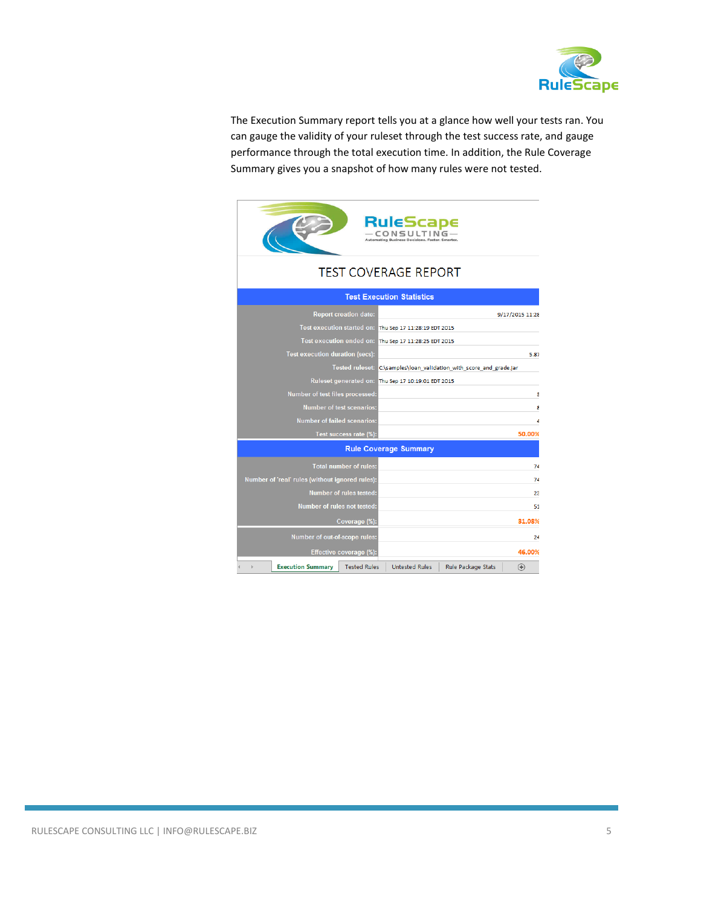

The Execution Summary report tells you at a glance how well your tests ran. You can gauge the validity of your ruleset through the test success rate, and gauge performance through the total execution time. In addition, the Rule Coverage Summary gives you a snapshot of how many rules were not tested.

|                                                 | RuleScape<br><b>CONSULTING</b><br>Automating Business Decisions, Faster, Smarter |
|-------------------------------------------------|----------------------------------------------------------------------------------|
|                                                 | <b>TEST COVERAGE REPORT</b>                                                      |
|                                                 | <b>Test Execution Statistics</b>                                                 |
| <b>Report creation date:</b>                    | 9/17/2015 11:28                                                                  |
|                                                 | Test execution started on: Thu Sep 17 11:28:19 EDT 2015                          |
|                                                 | Test execution ended on: Thu Sep 17 11:28:25 EDT 2015                            |
| <b>Test execution duration (secs):</b>          | 5.87                                                                             |
|                                                 | Tested ruleset: C:\samples\loan_validation_with_score_and_grade.jar              |
|                                                 | Ruleset generated on: Thu Sep 17 10:19:01 EDT 2015                               |
| Number of test files processed:                 | 8                                                                                |
| <b>Number of test scenarios:</b>                | Я                                                                                |
| <b>Number of failed scenarios:</b>              |                                                                                  |
| Test success rate (%):                          | 50.00%                                                                           |
|                                                 | <b>Rule Coverage Summary</b>                                                     |
| <b>Total number of rules:</b>                   | 74                                                                               |
| Number of 'real' rules (without ignored rules): | 74                                                                               |
| Number of rules tested:                         | 23                                                                               |
| Number of rules not tested:                     | 51                                                                               |
| Coverage (%):                                   | 31.08%                                                                           |
| Number of out-of-scope rules:                   | 24                                                                               |
| Effective coverage (%):                         | 46.00%                                                                           |
| <b>Execution Summary</b><br><b>Tested Rules</b> | <b>Untested Rules</b><br>Rule Package Stats<br>$^{\circledR}$                    |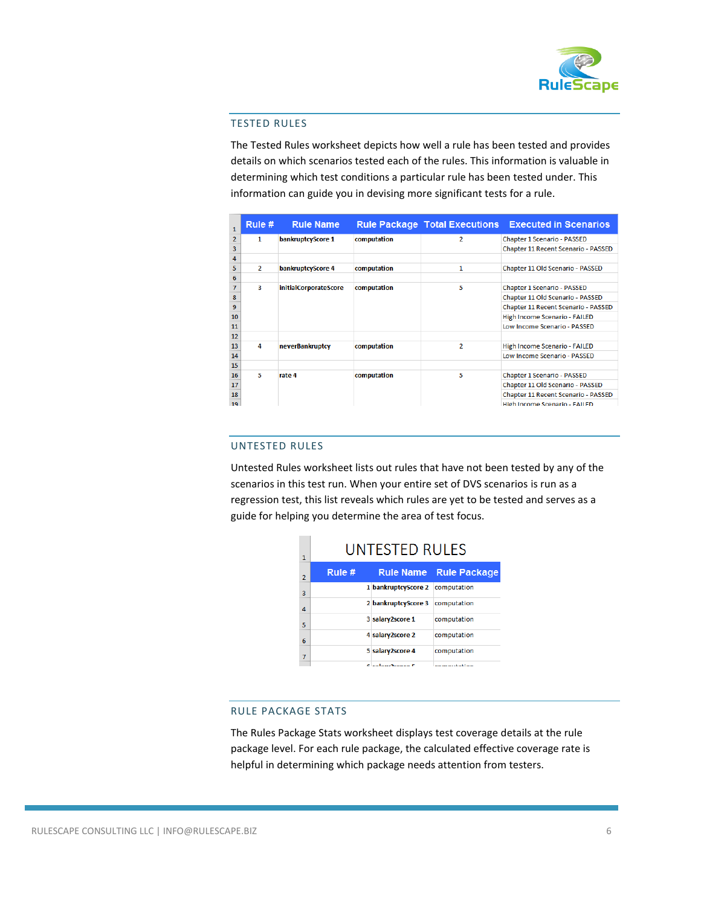

#### TESTED RULES

The Tested Rules worksheet depicts how well a rule has been tested and provides details on which scenarios tested each of the rules. This information is valuable in determining which test conditions a particular rule has been tested under. This information can guide you in devising more significant tests for a rule.

| 1              | Rule $#$       | <b>Rule Name</b>      |             |                | <b>Rule Package Total Executions Executed in Scenarios</b> |
|----------------|----------------|-----------------------|-------------|----------------|------------------------------------------------------------|
| $\overline{2}$ | 1              | bankruptcyScore 1     | computation | $\overline{2}$ | Chapter 1 Scenario - PASSED                                |
| 3              |                |                       |             |                | Chapter 11 Recent Scenario - PASSED                        |
| 4              |                |                       |             |                |                                                            |
| 5              | $\overline{2}$ | bankruptcyScore 4     | computation | 1              | Chapter 11 Old Scenario - PASSED                           |
| 6              |                |                       |             |                |                                                            |
| 7              | я              | initialCorporateScore | computation | 5              | Chapter 1 Scenario - PASSED                                |
| 8              |                |                       |             |                | Chapter 11 Old Scenario - PASSED                           |
| 9              |                |                       |             |                | Chapter 11 Recent Scenario - PASSED                        |
| 10             |                |                       |             |                | High Income Scenario - FAILED                              |
| 11             |                |                       |             |                | Low Income Scenario - PASSED                               |
| 12             |                |                       |             |                |                                                            |
| 13             | 4              | neverBankruptcy       | computation | $\overline{2}$ | High Income Scenario - FAILED                              |
| 14             |                |                       |             |                | Low Income Scenario - PASSED                               |
| 15             |                |                       |             |                |                                                            |
| 16             | 5              | rate 4                | computation | 5              | Chapter 1 Scenario - PASSED                                |
| 17             |                |                       |             |                | Chapter 11 Old Scenario - PASSED                           |
| 18             |                |                       |             |                | Chapter 11 Recent Scenario - PASSED                        |
| 19             |                |                       |             |                | High Income Scenario - FAILED                              |

### UNTESTED RULES

Untested Rules worksheet lists out rules that have not been tested by any of the scenarios in this test run. When your entire set of DVS scenarios is run as a regression test, this list reveals which rules are yet to be tested and serves as a guide for helping you determine the area of test focus.

| 1              | UNTESTED RULES |                                 |                                                    |
|----------------|----------------|---------------------------------|----------------------------------------------------|
| $\overline{2}$ | Rule $#$       |                                 | <b>Rule Name Rule Package</b>                      |
| 3              |                | 1 bankruptcyScore 2 computation |                                                    |
| $\Delta$       |                | 2 bankruptcyScore 3 computation |                                                    |
| 5              |                | 3 salary2score 1                | computation                                        |
| 6              |                | 4 salary2score 2                | computation                                        |
| 7              |                | 5 salary2score 4                | computation                                        |
|                |                | Conference C                    | when the company of the first state of the company |

## RULE PACKAGE STATS

The Rules Package Stats worksheet displays test coverage details at the rule package level. For each rule package, the calculated effective coverage rate is helpful in determining which package needs attention from testers.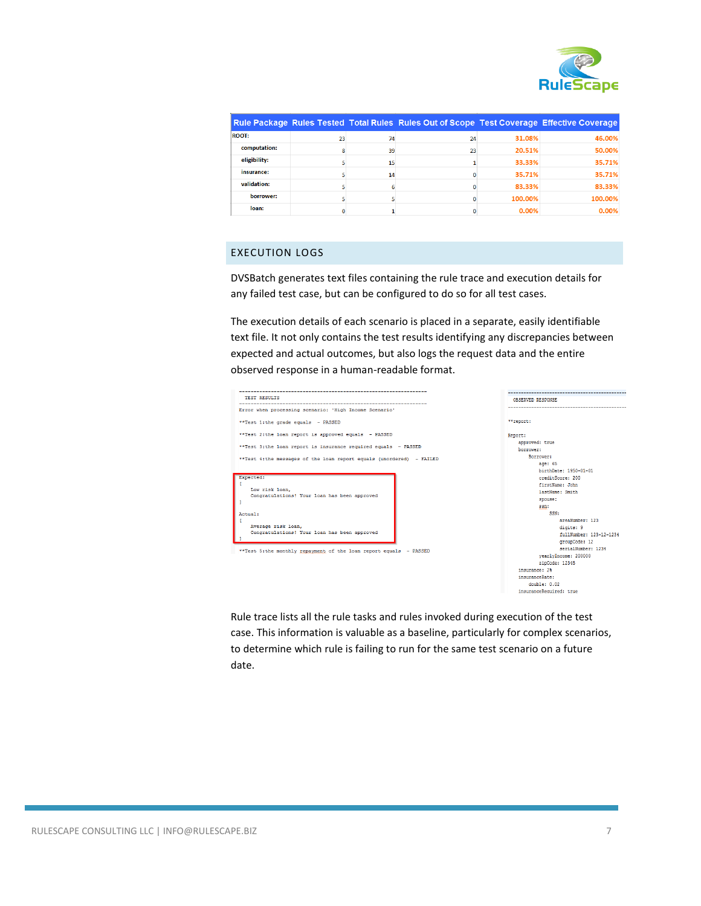

|              |    |    | <b>Rule Package Rules Tested Total Rules Rules Out of Scope Test Coverage Effective Coverage</b> |         |         |
|--------------|----|----|--------------------------------------------------------------------------------------------------|---------|---------|
| <b>ROOT:</b> | 23 | 74 | 24                                                                                               | 31.08%  | 46.00%  |
| computation: |    | 39 | 23                                                                                               | 20.51%  | 50.00%  |
| eligibility: |    | 15 |                                                                                                  | 33.33%  | 35.71%  |
| insurance:   |    | 14 |                                                                                                  | 35.71%  | 35.71%  |
| validation:  |    |    |                                                                                                  | 83.33%  | 83.33%  |
| borrower:    |    |    |                                                                                                  | 100.00% | 100.00% |
| loan:        |    |    |                                                                                                  | 0.00%   | 0.00%   |

# EXECUTION LOGS

DVSBatch generates text files containing the rule trace and execution details for any failed test case, but can be configured to do so for all test cases.

The execution details of each scenario is placed in a separate, easily identifiable text file. It not only contains the test results identifying any discrepancies between expected and actual outcomes, but also logs the request data and the entire observed response in a human-readable format.



Rule trace lists all the rule tasks and rules invoked during execution of the test case. This information is valuable as a baseline, particularly for complex scenarios, to determine which rule is failing to run for the same test scenario on a future date.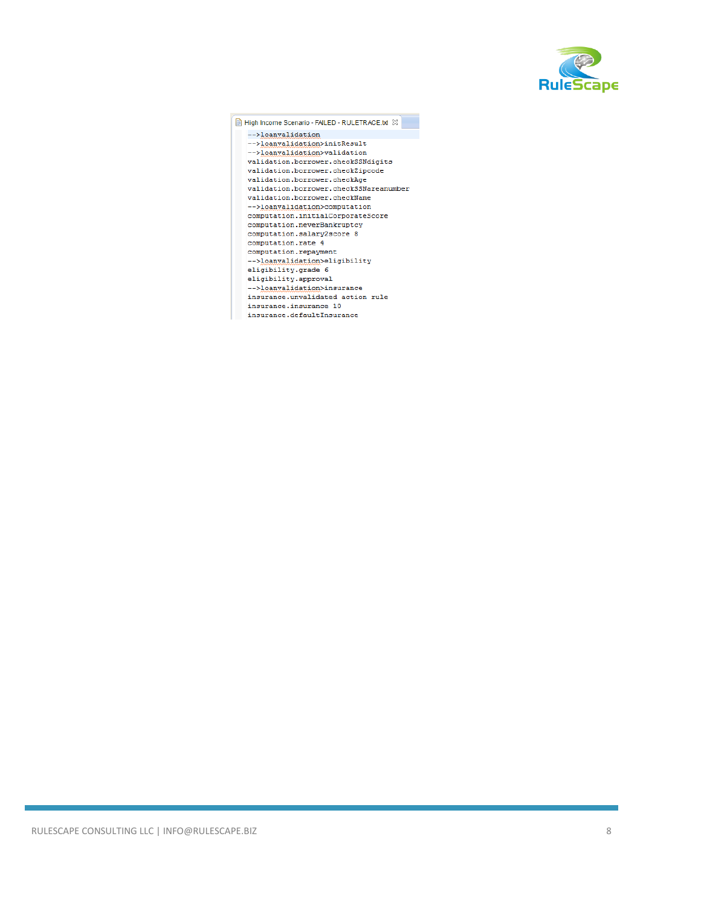

| High Income Scenario - FAILED - RULETRACE.txt 23 |
|--------------------------------------------------|
| -->loanvalidation                                |
| -->loanvalidation>initResult                     |
| -->loanvalidation>validation                     |
| validation.borrower.checkSSNdigits               |
| validation.borrower.checkZipcode                 |
| validation.borrower.checkAge                     |
| validation.borrower.checkSSNareanumber           |
| validation.borrower.checkName                    |
| -->loanvalidation>computation                    |
| computation.initialCorporateScore                |
| computation.neverBankruptcy                      |
| computation.salary2score 8                       |
| computation.rate 4                               |
| computation.repayment                            |
| -->loanvalidation>eligibility                    |
| eligibility.grade 6                              |
| eligibility.approval                             |
| -->loanvalidation>insurance                      |
| insurance.unvalidated action rule                |
| insurance.insurance 10                           |
| insurance.defaultInsurance                       |